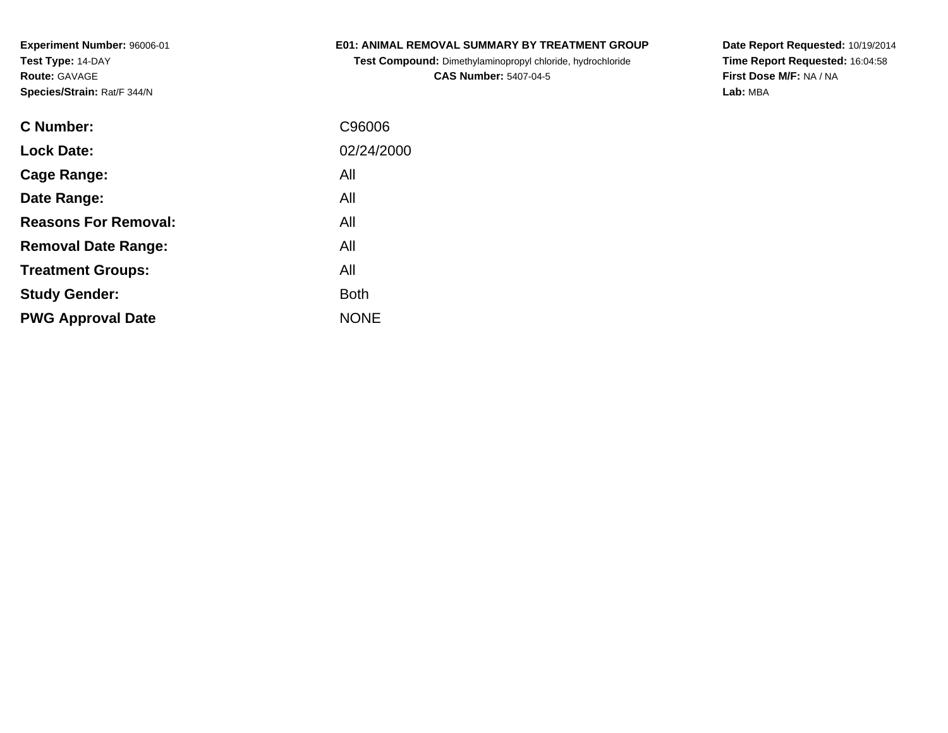### **E01: ANIMAL REMOVAL SUMMARY BY TREATMENT GROUP**

**Test Compound:** Dimethylaminopropyl chloride, hydrochloride**CAS Number:** 5407-04-5

**Date Report Requested:** 10/19/2014 **Time Report Requested:** 16:04:58**First Dose M/F:** NA / NA**Lab:** MBA

| <b>C</b> Number:            | C96006      |
|-----------------------------|-------------|
| <b>Lock Date:</b>           | 02/24/2000  |
| Cage Range:                 | All         |
| Date Range:                 | All         |
| <b>Reasons For Removal:</b> | All         |
| <b>Removal Date Range:</b>  | All         |
| <b>Treatment Groups:</b>    | All         |
| <b>Study Gender:</b>        | <b>Both</b> |
| <b>PWG Approval Date</b>    | <b>NONE</b> |
|                             |             |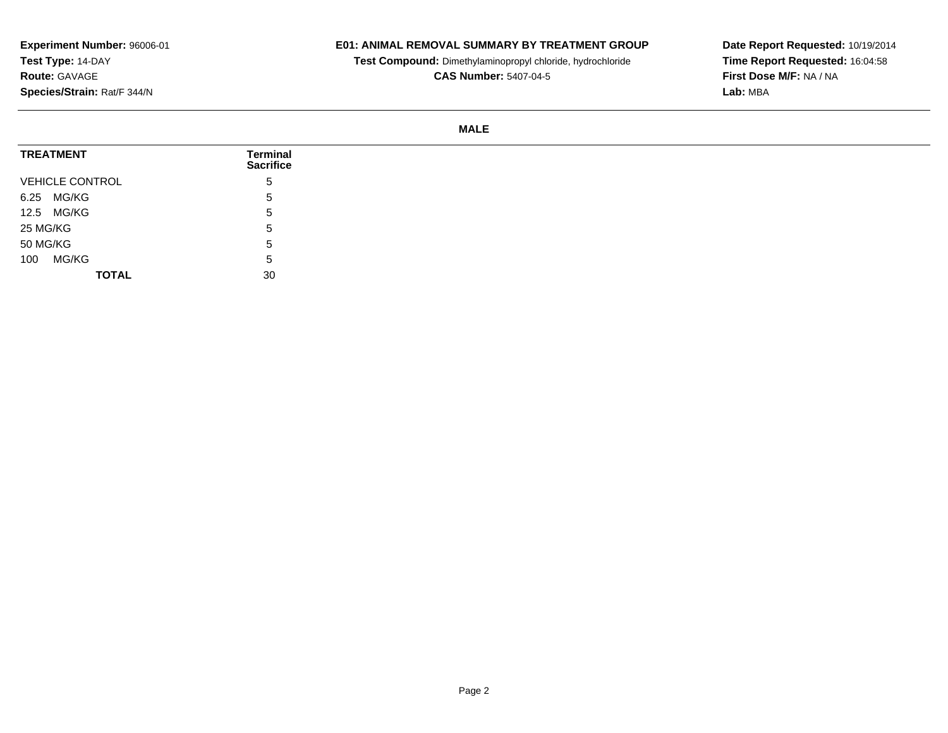## **E01: ANIMAL REMOVAL SUMMARY BY TREATMENT GROUP**

**Test Compound:** Dimethylaminopropyl chloride, hydrochloride

**CAS Number:** 5407-04-5

**Date Report Requested:** 10/19/2014**Time Report Requested:** 16:04:58**First Dose M/F:** NA / NA**Lab:** MBA

#### **MALE**

| <b>TREATMENT</b>       | <b>Terminal</b><br><b>Sacrifice</b> |
|------------------------|-------------------------------------|
| <b>VEHICLE CONTROL</b> | 5                                   |
| 6.25 MG/KG             | $5^{\circ}$                         |
| 12.5 MG/KG             | 5                                   |
| 25 MG/KG               | 5                                   |
| 50 MG/KG               | 5                                   |
| MG/KG<br>100           | 5                                   |
| <b>TOTAL</b>           | 30                                  |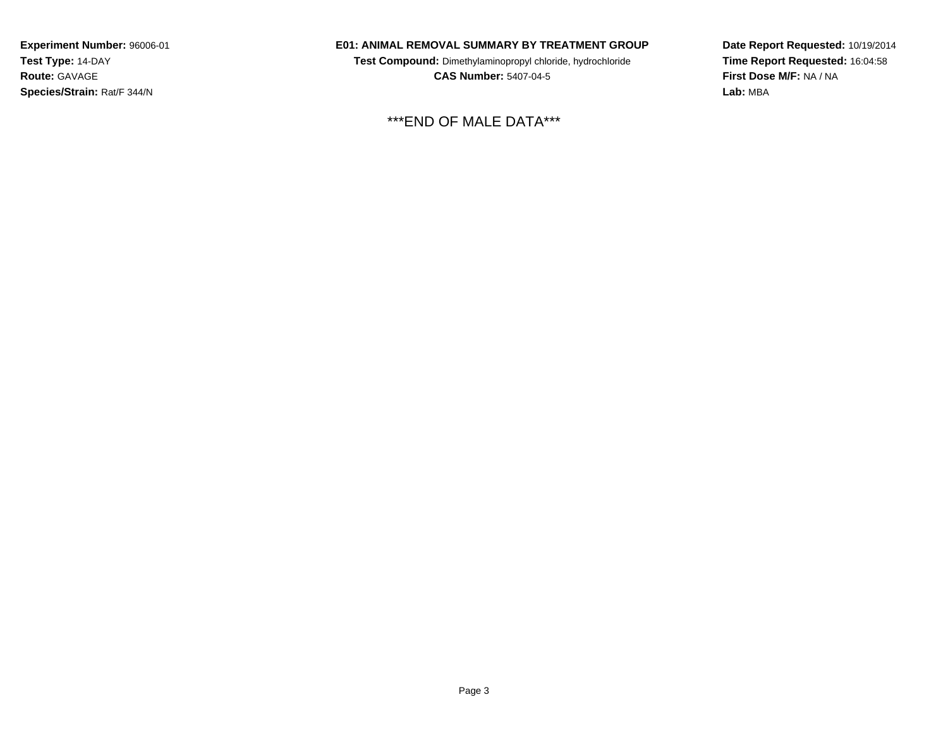#### **E01: ANIMAL REMOVAL SUMMARY BY TREATMENT GROUP**

**Test Compound:** Dimethylaminopropyl chloride, hydrochloride**CAS Number:** 5407-04-5

\*\*\*END OF MALE DATA\*\*\*

**Date Report Requested:** 10/19/2014**Time Report Requested:** 16:04:58**First Dose M/F:** NA / NA**Lab:** MBA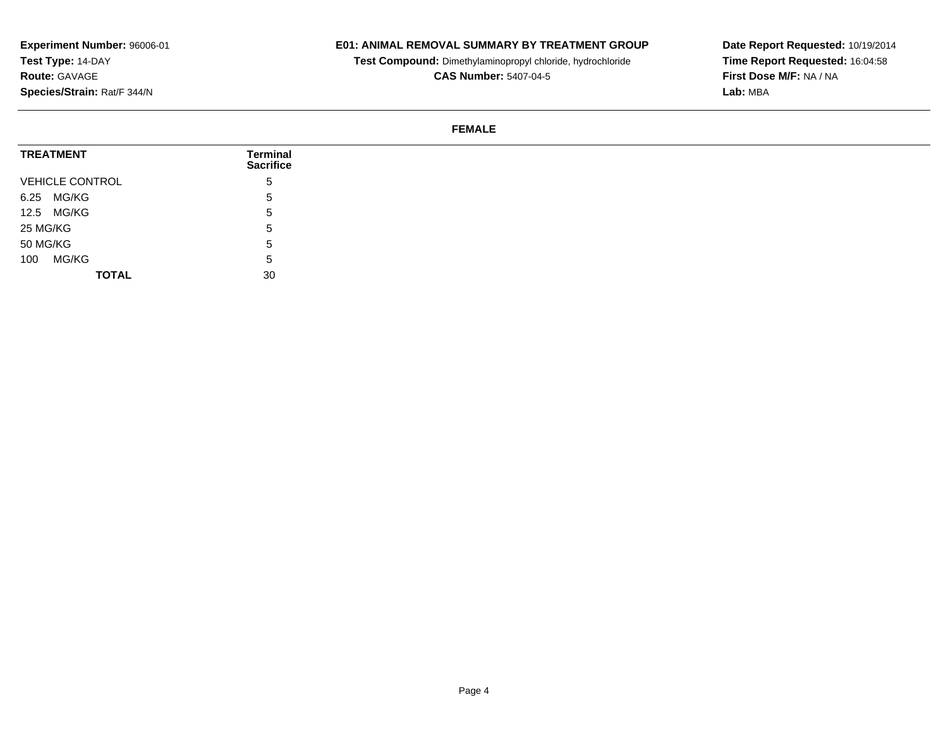## **E01: ANIMAL REMOVAL SUMMARY BY TREATMENT GROUP**

**Test Compound:** Dimethylaminopropyl chloride, hydrochloride

**CAS Number:** 5407-04-5

**Date Report Requested:** 10/19/2014**Time Report Requested:** 16:04:58**First Dose M/F:** NA / NA**Lab:** MBA

#### **FEMALE**

| <b>TREATMENT</b>       | Terminal<br><b>Sacrifice</b> |
|------------------------|------------------------------|
| <b>VEHICLE CONTROL</b> | '5                           |
| 6.25 MG/KG             | 5.                           |
| 12.5 MG/KG             | 5.                           |
| 25 MG/KG               | .5                           |
| 50 MG/KG               | 5.                           |
| MG/KG<br>100           | 5.                           |
| <b>TOTAL</b>           | 30                           |